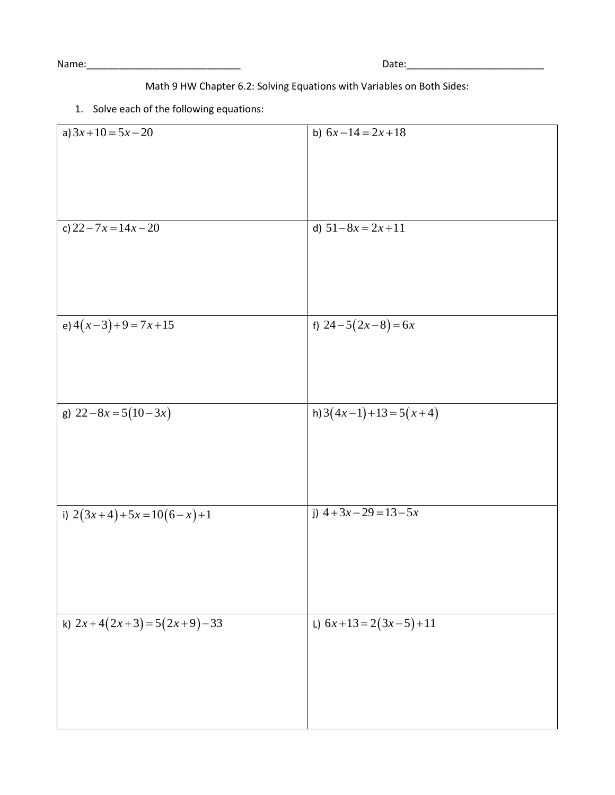Name:\_\_\_\_\_\_\_\_\_\_\_\_\_\_\_\_\_\_\_\_\_\_\_\_\_\_\_\_ Date:\_\_\_\_\_\_\_\_\_\_\_\_\_\_\_\_\_\_\_\_\_\_\_\_\_

## Math 9 HW Chapter 6.2: Solving Equations with Variables on Both Sides:

## 1. Solve each of the following equations:

| a) $3x+10=5x-20$           | b) $6x-14=2x+18$           |
|----------------------------|----------------------------|
|                            |                            |
|                            |                            |
|                            |                            |
|                            |                            |
|                            |                            |
| c) $22 - 7x = 14x - 20$    | d) $51-8x = 2x+11$         |
|                            |                            |
|                            |                            |
|                            |                            |
|                            |                            |
|                            |                            |
|                            |                            |
| e) $4(x-3)+9=7x+15$        | f) $24-5(2x-8)=6x$         |
|                            |                            |
|                            |                            |
|                            |                            |
|                            |                            |
| g) $22-8x=5(10-3x)$        | h) $3(4x-1) + 13 = 5(x+4)$ |
|                            |                            |
|                            |                            |
|                            |                            |
|                            |                            |
|                            |                            |
|                            |                            |
| i) $2(3x+4)+5x=10(6-x)+1$  | j) $4+3x-29=13-5x$         |
|                            |                            |
|                            |                            |
|                            |                            |
|                            |                            |
|                            |                            |
|                            |                            |
| k) $2x+4(2x+3)=5(2x+9)-33$ | L) $6x+13=2(3x-5)+11$      |
|                            |                            |
|                            |                            |
|                            |                            |
|                            |                            |
|                            |                            |
|                            |                            |
|                            |                            |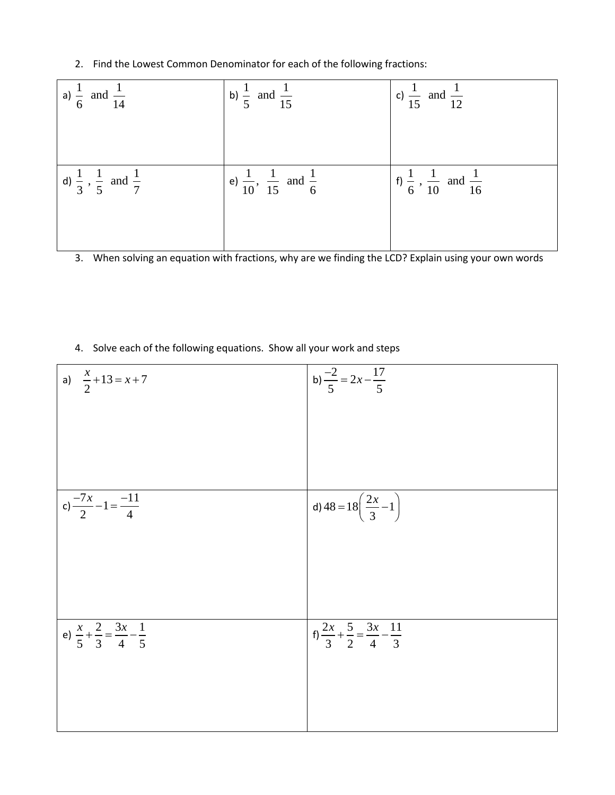2. Find the Lowest Common Denominator for each of the following fractions:

| a) $\frac{1}{6}$ and $\frac{1}{14}$                | b) $\frac{1}{5}$ and $\frac{1}{15}$                  | c) $\frac{1}{15}$ and $\frac{1}{12}$                 |
|----------------------------------------------------|------------------------------------------------------|------------------------------------------------------|
|                                                    |                                                      |                                                      |
| d) $\frac{1}{3}$ , $\frac{1}{5}$ and $\frac{1}{7}$ | e) $\frac{1}{10}$ , $\frac{1}{15}$ and $\frac{1}{6}$ | f) $\frac{1}{6}$ , $\frac{1}{10}$ and $\frac{1}{16}$ |
|                                                    |                                                      |                                                      |

3. When solving an equation with fractions, why are we finding the LCD? Explain using your own words

4. Solve each of the following equations. Show all your work and steps

| a) $\frac{x}{2} + 13 = x + 7$                               | b) $\frac{-2}{5} = 2x - \frac{17}{5}$                          |
|-------------------------------------------------------------|----------------------------------------------------------------|
|                                                             |                                                                |
|                                                             |                                                                |
|                                                             |                                                                |
| c) $\frac{-7x}{2} - 1 = \frac{-11}{4}$                      | d) $48 = 18\left(\frac{2x}{3} - 1\right)$                      |
|                                                             |                                                                |
|                                                             |                                                                |
|                                                             |                                                                |
| e) $\frac{x}{5} + \frac{2}{3} = \frac{3x}{4} - \frac{1}{5}$ | $f_1 \frac{2x}{3} + \frac{5}{2} = \frac{3x}{4} - \frac{11}{3}$ |
|                                                             |                                                                |
|                                                             |                                                                |
|                                                             |                                                                |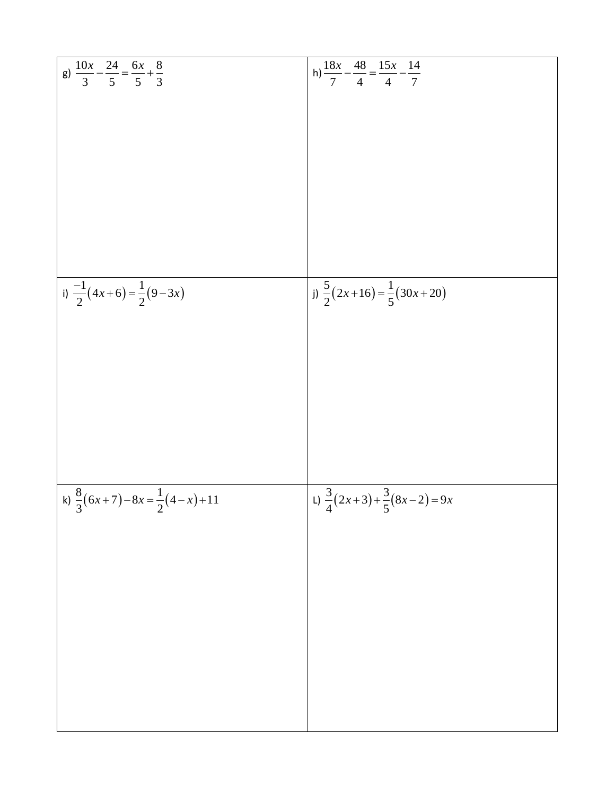| g) $\frac{10x}{3} - \frac{24}{5} = \frac{6x}{5} + \frac{8}{3}$ | h) $\frac{18x}{7} - \frac{48}{4} = \frac{15x}{4} - \frac{14}{7}$ |
|----------------------------------------------------------------|------------------------------------------------------------------|
|                                                                |                                                                  |
|                                                                |                                                                  |
|                                                                |                                                                  |
|                                                                |                                                                  |
|                                                                |                                                                  |
| i) $\frac{-1}{2}(4x+6) = \frac{1}{2}(9-3x)$                    | j) $\frac{5}{2}(2x+16) = \frac{1}{5}(30x+20)$                    |
|                                                                |                                                                  |
|                                                                |                                                                  |
|                                                                |                                                                  |
|                                                                |                                                                  |
| k) $\frac{8}{3}(6x+7)-8x=\frac{1}{2}(4-x)+11$                  | L) $\frac{3}{4}(2x+3)+\frac{3}{5}(8x-2)=9x$                      |
|                                                                |                                                                  |
|                                                                |                                                                  |
|                                                                |                                                                  |
|                                                                |                                                                  |
|                                                                |                                                                  |
|                                                                |                                                                  |